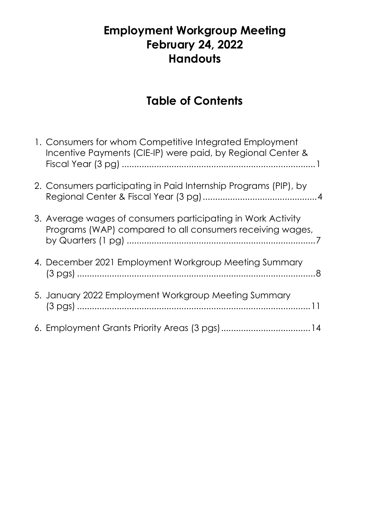# **Employment Workgroup Meeting February 24, 2022 Handouts**

# **Table of Contents**

| 1. Consumers for whom Competitive Integrated Employment<br>Incentive Payments (CIE-IP) were paid, by Regional Center &    |
|---------------------------------------------------------------------------------------------------------------------------|
| 2. Consumers participating in Paid Internship Programs (PIP), by                                                          |
| 3. Average wages of consumers participating in Work Activity<br>Programs (WAP) compared to all consumers receiving wages, |
| 4. December 2021 Employment Workgroup Meeting Summary                                                                     |
| 5. January 2022 Employment Workgroup Meeting Summary                                                                      |
| 6. Employment Grants Priority Areas (3 pgs)14                                                                             |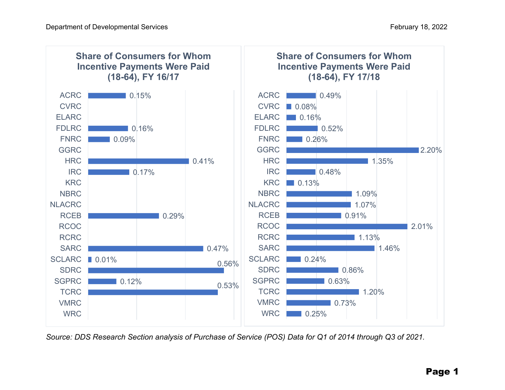

*Source: DDS Research Section analysis of Purchase of Service (POS) Data for Q1 of 2014 through Q3 of 2021.*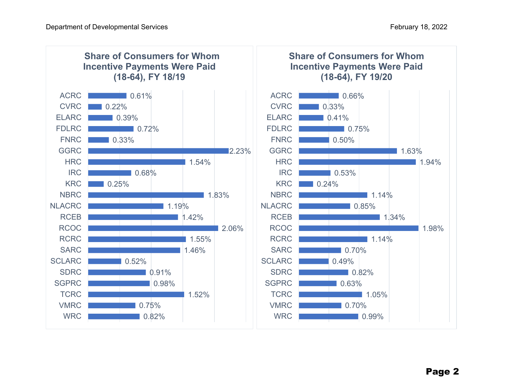

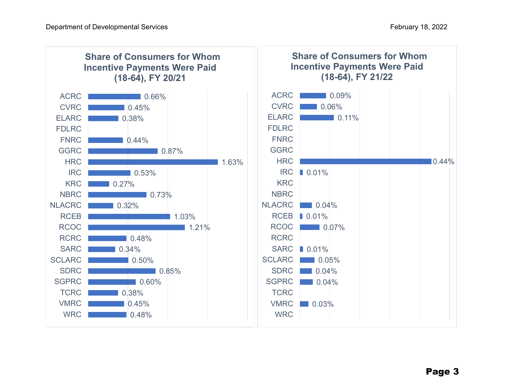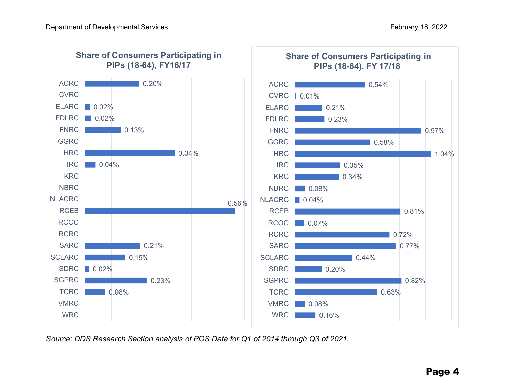

*Source: DDS Research Section analysis of POS Data for Q1 of 2014 through Q3 of 2021.*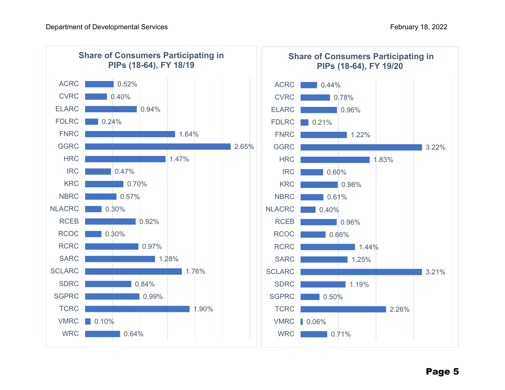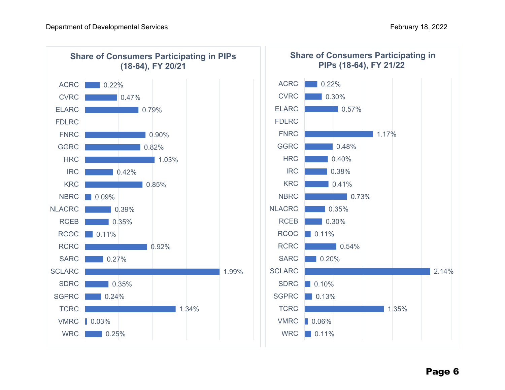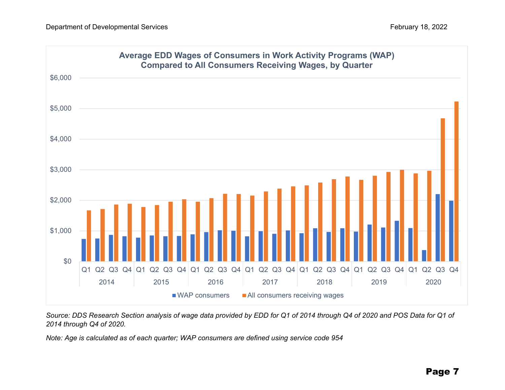

*Source: DDS Research Section analysis of wage data provided by EDD for Q1 of 2014 through Q4 of 2020 and POS Data for Q1 of 2014 through Q4 of 2020.* 

*Note: Age is calculated as of each quarter; WAP consumers are defined using service code 954*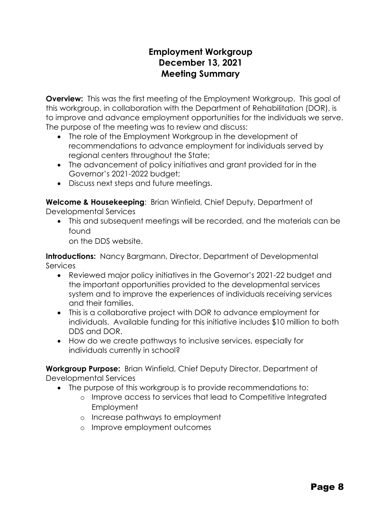### **Employment Workgroup December 13, 2021 Meeting Summary**

**Overview:** This was the first meeting of the Employment Workgroup. This goal of this workgroup, in collaboration with the Department of Rehabilitation (DOR), is to improve and advance employment opportunities for the individuals we serve. The purpose of the meeting was to review and discuss:

- The role of the Employment Workgroup in the development of recommendations to advance employment for individuals served by regional centers throughout the State;
- The advancement of policy initiatives and grant provided for in the Governor's 2021-2022 budget;
- Discuss next steps and future meetings.

**Welcome & Housekeeping**: Brian Winfield, Chief Deputy, Department of Developmental Services

• This and subsequent meetings will be recorded, and the materials can be found

on the DDS website.

**Introductions:** Nancy Bargmann, Director, Department of Developmental **Services** 

- Reviewed major policy initiatives in the Governor's 2021-22 budget and the important opportunities provided to the developmental services system and to improve the experiences of individuals receiving services and their families.
- This is a collaborative project with DOR to advance employment for individuals. Available funding for this initiative includes \$10 million to both DDS and DOR.
- How do we create pathways to inclusive services, especially for individuals currently in school?

**Workgroup Purpose:** Brian Winfield, Chief Deputy Director, Department of Developmental Services

- The purpose of this workgroup is to provide recommendations to:
	- o Improve access to services that lead to Competitive Integrated **Employment**
	- o Increase pathways to employment
	- o Improve employment outcomes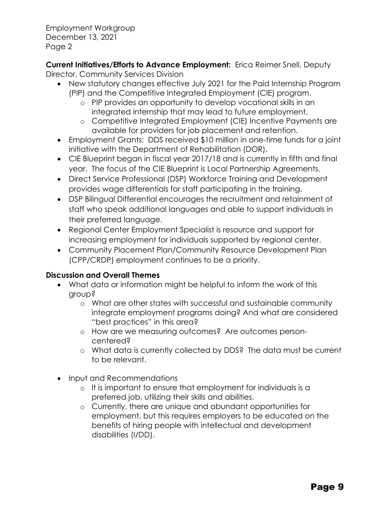Employment Workgroup December 13, 2021 Page 2

**Current Initiatives/Efforts to Advance Employment:** Erica Reimer Snell, Deputy Director, Community Services Division

- New statutory changes effective July 2021 for the Paid Internship Program (PIP) and the Competitive Integrated Employment (CIE) program.
	- o PIP provides an opportunity to develop vocational skills in an integrated internship that may lead to future employment.
	- o Competitive Integrated Employment (CIE) Incentive Payments are available for providers for job placement and retention.
- Employment Grants: DDS received \$10 million in one-time funds for a joint initiative with the Department of Rehabilitation (DOR).
- CIE Blueprint began in fiscal year 2017/18 and is currently in fifth and final year. The focus of the CIE Blueprint is Local Partnership Agreements.
- Direct Service Professional (DSP) Workforce Training and Development provides wage differentials for staff participating in the training.
- DSP Bilingual Differential encourages the recruitment and retainment of staff who speak additional languages and able to support individuals in their preferred language.
- Regional Center Employment Specialist is resource and support for increasing employment for individuals supported by regional center.
- Community Placement Plan/Community Resource Development Plan (CPP/CRDP) employment continues to be a priority.

#### **Discussion and Overall Themes**

- What data or information might be helpful to inform the work of this group?
	- o What are other states with successful and sustainable community integrate employment programs doing? And what are considered "best practices" in this area?
	- o How are we measuring outcomes? Are outcomes personcentered?
	- o What data is currently collected by DDS? The data must be current to be relevant.
- Input and Recommendations
	- o It is important to ensure that employment for individuals is a preferred job, utilizing their skills and abilities.
	- o Currently, there are unique and abundant opportunities for employment, but this requires employers to be educated on the benefits of hiring people with intellectual and development disabilities (I/DD).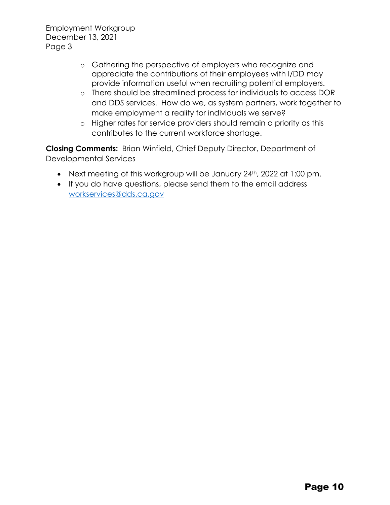Employment Workgroup December 13, 2021 Page 3

- o Gathering the perspective of employers who recognize and appreciate the contributions of their employees with I/DD may provide information useful when recruiting potential employers.
- o There should be streamlined process for individuals to access DOR and DDS services. How do we, as system partners, work together to make employment a reality for individuals we serve?
- o Higher rates for service providers should remain a priority as this contributes to the current workforce shortage.

**Closing Comments:** Brian Winfield, Chief Deputy Director, Department of Developmental Services

- Next meeting of this workgroup will be January 24<sup>th</sup>, 2022 at 1:00 pm.
- If you do have questions, please send them to the email address [workservices@dds.ca.gov](mailto:workservices@dds.ca.gov)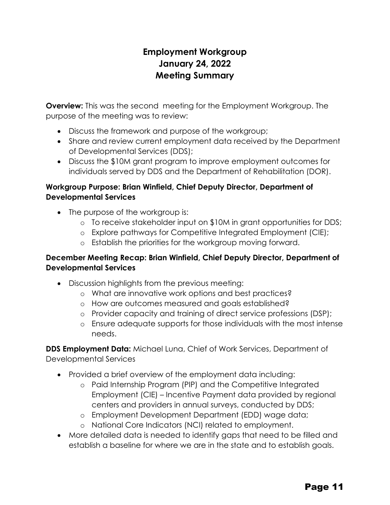## **Employment Workgroup January 24, 2022 Meeting Summary**

**Overview:** This was the second meeting for the Employment Workgroup. The purpose of the meeting was to review:

- Discuss the framework and purpose of the workgroup;
- Share and review current employment data received by the Department of Developmental Services (DDS);
- Discuss the \$10M grant program to improve employment outcomes for individuals served by DDS and the Department of Rehabilitation (DOR).

#### **Workgroup Purpose: Brian Winfield, Chief Deputy Director, Department of Developmental Services**

- The purpose of the workgroup is:
	- o To receive stakeholder input on \$10M in grant opportunities for DDS;
	- o Explore pathways for Competitive Integrated Employment (CIE);
	- o Establish the priorities for the workgroup moving forward.

#### **December Meeting Recap: Brian Winfield, Chief Deputy Director, Department of Developmental Services**

- Discussion highlights from the previous meeting:
	- o What are innovative work options and best practices?
	- o How are outcomes measured and goals established?
	- o Provider capacity and training of direct service professions (DSP);
	- o Ensure adequate supports for those individuals with the most intense needs.

**DDS Employment Data:** Michael Luna, Chief of Work Services, Department of Developmental Services

- Provided a brief overview of the employment data including:
	- o Paid Internship Program (PIP) and the Competitive Integrated Employment (CIE) – Incentive Payment data provided by regional centers and providers in annual surveys, conducted by DDS;
	- o Employment Development Department (EDD) wage data;
	- o National Core Indicators (NCI) related to employment.
- More detailed data is needed to identify gaps that need to be filled and establish a baseline for where we are in the state and to establish goals.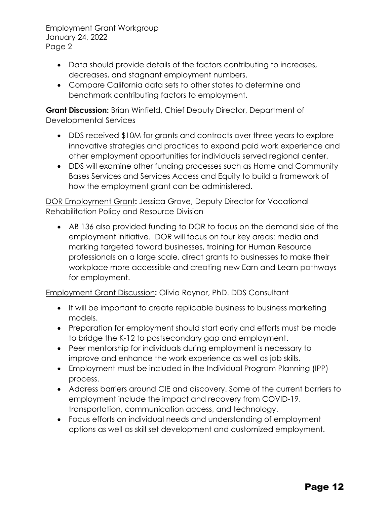Employment Grant Workgroup January 24, 2022 Page 2

- Data should provide details of the factors contributing to increases, decreases, and stagnant employment numbers.
- Compare California data sets to other states to determine and benchmark contributing factors to employment.

**Grant Discussion:** Brian Winfield, Chief Deputy Director, Department of Developmental Services

- DDS received \$10M for grants and contracts over three years to explore innovative strategies and practices to expand paid work experience and other employment opportunities for individuals served regional center.
- DDS will examine other funding processes such as Home and Community Bases Services and Services Access and Equity to build a framework of how the employment grant can be administered.

DOR Employment Grant**:** Jessica Grove, Deputy Director for Vocational Rehabilitation Policy and Resource Division

• AB 136 also provided funding to DOR to focus on the demand side of the employment initiative. DOR will focus on four key areas: media and marking targeted toward businesses, training for Human Resource professionals on a large scale, direct grants to businesses to make their workplace more accessible and creating new Earn and Learn pathways for employment.

Employment Grant Discussion**:** Olivia Raynor, PhD. DDS Consultant

- It will be important to create replicable business to business marketing models.
- Preparation for employment should start early and efforts must be made to bridge the K-12 to postsecondary gap and employment.
- Peer mentorship for individuals during employment is necessary to improve and enhance the work experience as well as job skills.
- Employment must be included in the Individual Program Planning (IPP) process.
- Address barriers around CIE and discovery. Some of the current barriers to employment include the impact and recovery from COVID-19, transportation, communication access, and technology.
- Focus efforts on individual needs and understanding of employment options as well as skill set development and customized employment.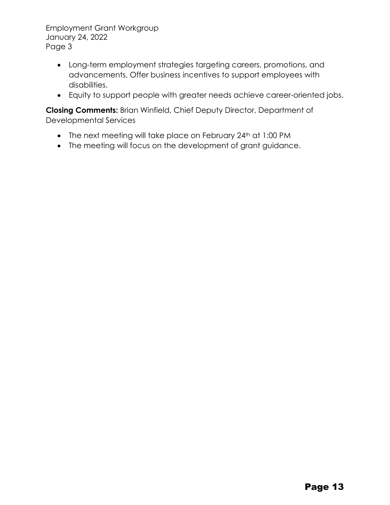Employment Grant Workgroup January 24, 2022 Page 3

- Long-term employment strategies targeting careers, promotions, and advancements. Offer business incentives to support employees with disabilities.
- Equity to support people with greater needs achieve career-oriented jobs.

**Closing Comments:** Brian Winfield, Chief Deputy Director, Department of Developmental Services

- The next meeting will take place on February 24<sup>th</sup> at 1:00 PM
- The meeting will focus on the development of grant guidance.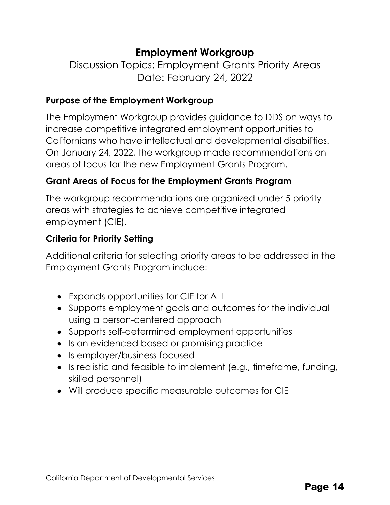# **Employment Workgroup**

Discussion Topics: Employment Grants Priority Areas Date: February 24, 2022

#### **Purpose of the Employment Workgroup**

The Employment Workgroup provides guidance to DDS on ways to increase competitive integrated employment opportunities to Californians who have intellectual and developmental disabilities. On January 24, 2022, the workgroup made recommendations on areas of focus for the new Employment Grants Program.

### **Grant Areas of Focus for the Employment Grants Program**

The workgroup recommendations are organized under 5 priority areas with strategies to achieve competitive integrated employment (CIE).

#### **Criteria for Priority Setting**

Additional criteria for selecting priority areas to be addressed in the Employment Grants Program include:

- Expands opportunities for CIE for ALL
- Supports employment goals and outcomes for the individual using a person-centered approach
- Supports self-determined employment opportunities
- Is an evidenced based or promising practice
- Is employer/business-focused
- Is realistic and feasible to implement (e.g., timeframe, funding, skilled personnel)
- Will produce specific measurable outcomes for CIE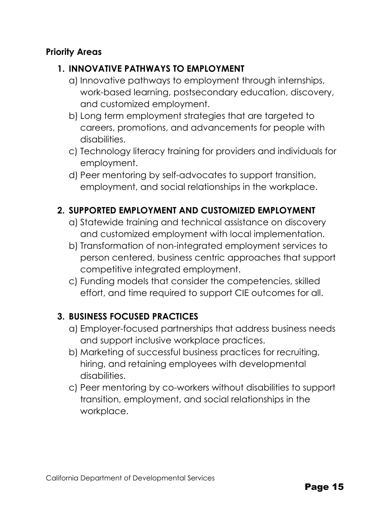### **Priority Areas**

### **1. INNOVATIVE PATHWAYS TO EMPLOYMENT**

- a) Innovative pathways to employment through internships, work-based learning, postsecondary education, discovery, and customized employment.
- b) Long term employment strategies that are targeted to careers, promotions, and advancements for people with disabilities.
- c) Technology literacy training for providers and individuals for employment.
- d) Peer mentoring by self-advocates to support transition, employment, and social relationships in the workplace.

### **2. SUPPORTED EMPLOYMENT AND CUSTOMIZED EMPLOYMENT**

- a) Statewide training and technical assistance on discovery and customized employment with local implementation.
- b) Transformation of non-integrated employment services to person centered, business centric approaches that support competitive integrated employment.
- c) Funding models that consider the competencies, skilled effort, and time required to support CIE outcomes for all.

#### **3. BUSINESS FOCUSED PRACTICES**

- a) Employer-focused partnerships that address business needs and support inclusive workplace practices.
- b) Marketing of successful business practices for recruiting, hiring, and retaining employees with developmental disabilities.
- c) Peer mentoring by co-workers without disabilities to support transition, employment, and social relationships in the workplace.